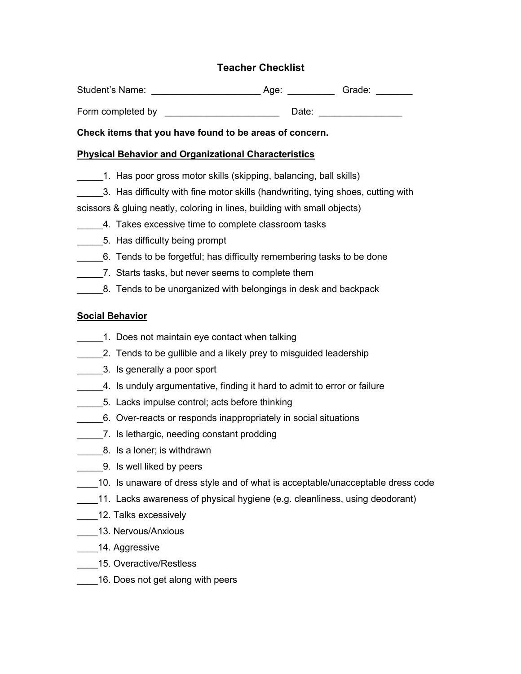# **Teacher Checklist**

| <b>Student's Name:</b> | Aae: | Grade: |
|------------------------|------|--------|
|                        |      |        |

Form completed by **Example 1** Date:

**Check items that you have found to be areas of concern.**

### **Physical Behavior and Organizational Characteristics**

- 1. Has poor gross motor skills (skipping, balancing, ball skills)
- \_\_\_\_\_3. Has difficulty with fine motor skills (handwriting, tying shoes, cutting with

scissors & gluing neatly, coloring in lines, building with small objects)

- \_\_\_\_\_4. Takes excessive time to complete classroom tasks
- \_\_\_\_\_5. Has difficulty being prompt
- \_\_\_\_\_6. Tends to be forgetful; has difficulty remembering tasks to be done
- \_\_\_\_\_7. Starts tasks, but never seems to complete them
- 8. Tends to be unorganized with belongings in desk and backpack

## **Social Behavior**

- 1. Does not maintain eye contact when talking
- 1. 2. Tends to be gullible and a likely prey to misguided leadership
- \_\_\_\_\_3. Is generally a poor sport
- \_\_\_\_\_4. Is unduly argumentative, finding it hard to admit to error or failure
- 5. Lacks impulse control; acts before thinking
- \_\_\_\_\_6. Over-reacts or responds inappropriately in social situations
- \_\_\_\_\_7. Is lethargic, needing constant prodding
- **8.** Is a loner; is withdrawn
- **2.** 9. Is well liked by peers
- \_\_\_\_10. Is unaware of dress style and of what is acceptable/unacceptable dress code
- \_\_\_\_11. Lacks awareness of physical hygiene (e.g. cleanliness, using deodorant)
- \_\_\_\_\_12. Talks excessively
- \_\_\_\_13. Nervous/Anxious
- 14. Aggressive
- \_\_\_\_15. Overactive/Restless
- \_\_\_\_16. Does not get along with peers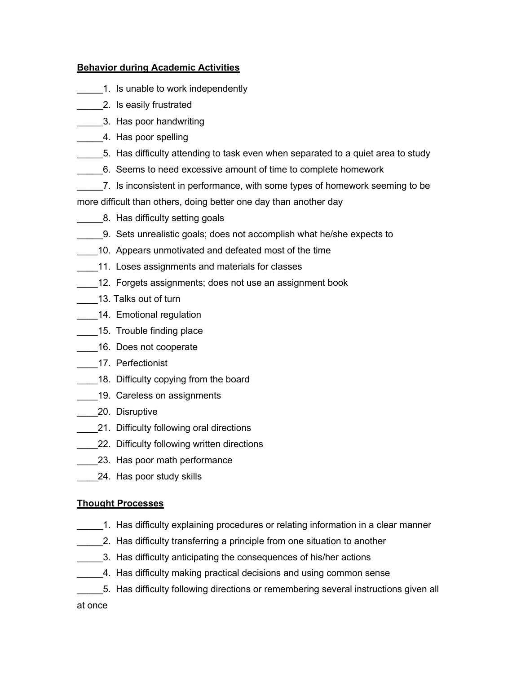#### **Behavior during Academic Activities**

- 1. Is unable to work independently
- \_\_\_\_\_2. Is easily frustrated
- \_\_\_\_\_3. Has poor handwriting
- 1. Has poor spelling
- \_\_\_\_\_5. Has difficulty attending to task even when separated to a quiet area to study
- \_\_\_\_\_6. Seems to need excessive amount of time to complete homework
- \_\_\_\_\_7. Is inconsistent in performance, with some types of homework seeming to be

more difficult than others, doing better one day than another day

- **8. Has difficulty setting goals** 
	- \_\_\_\_\_9. Sets unrealistic goals; does not accomplish what he/she expects to
- 10. Appears unmotivated and defeated most of the time
- 11. Loses assignments and materials for classes
- \_\_\_\_12. Forgets assignments; does not use an assignment book
- 13. Talks out of turn
- 14. Emotional regulation
- 15. Trouble finding place
- 16. Does not cooperate
- \_\_\_\_\_17. Perfectionist
- \_\_\_\_18. Difficulty copying from the board
- 19. Careless on assignments
- 20. Disruptive
- 21. Difficulty following oral directions
- \_\_\_\_\_22. Difficulty following written directions
- 23. Has poor math performance
- 24. Has poor study skills

## **Thought Processes**

- \_\_\_\_\_1. Has difficulty explaining procedures or relating information in a clear manner
- \_\_\_\_\_2. Has difficulty transferring a principle from one situation to another
	- 3. Has difficulty anticipating the consequences of his/her actions
- \_\_\_\_\_4. Has difficulty making practical decisions and using common sense
- \_\_\_\_\_5. Has difficulty following directions or remembering several instructions given all

## at once